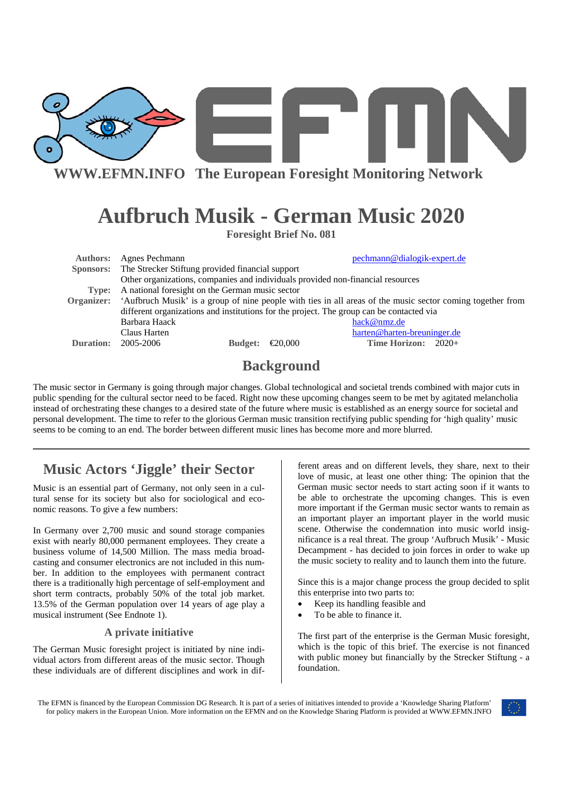

# **Aufbruch Musik - German Music 2020**

**Foresight Brief No. 081** 

| <b>Authors:</b> | Agnes Pechmann                                                                                             |         | pechmann@dialogik-expert.de |
|-----------------|------------------------------------------------------------------------------------------------------------|---------|-----------------------------|
|                 | Sponsors: The Strecker Stiftung provided financial support                                                 |         |                             |
|                 | Other organizations, companies and individuals provided non-financial resources                            |         |                             |
| Type:           | A national foresight on the German music sector                                                            |         |                             |
| Organizer:      | 'Aufbruch Musik' is a group of nine people with ties in all areas of the music sector coming together from |         |                             |
|                 | different organizations and institutions for the project. The group can be contacted via                   |         |                             |
|                 | Barbara Haack                                                                                              |         | hack@nmz.de                 |
|                 | Claus Harten                                                                                               |         | harten@harten-breuninger.de |
| Duration:       | 2005-2006<br><b>Budget:</b>                                                                                | €20,000 | Time Horizon: $2020+$       |
|                 |                                                                                                            |         |                             |

### **Background**

The music sector in Germany is going through major changes. Global technological and societal trends combined with major cuts in public spending for the cultural sector need to be faced. Right now these upcoming changes seem to be met by agitated melancholia instead of orchestrating these changes to a desired state of the future where music is established as an energy source for societal and personal development. The time to refer to the glorious German music transition rectifying public spending for 'high quality' music seems to be coming to an end. The border between different music lines has become more and more blurred.

## **Music Actors 'Jiggle' their Sector**

Music is an essential part of Germany, not only seen in a cultural sense for its society but also for sociological and economic reasons. To give a few numbers:

In Germany over 2,700 music and sound storage companies exist with nearly 80,000 permanent employees. They create a business volume of 14,500 Million. The mass media broadcasting and consumer electronics are not included in this number. In addition to the employees with permanent contract there is a traditionally high percentage of self-employment and short term contracts, probably 50% of the total job market. 13.5% of the German population over 14 years of age play a musical instrument (See Endnote 1).

#### **A private initiative**

The German Music foresight project is initiated by nine individual actors from different areas of the music sector. Though these individuals are of different disciplines and work in different areas and on different levels, they share, next to their love of music, at least one other thing: The opinion that the German music sector needs to start acting soon if it wants to be able to orchestrate the upcoming changes. This is even more important if the German music sector wants to remain as an important player an important player in the world music scene. Otherwise the condemnation into music world insignificance is a real threat. The group 'Aufbruch Musik' - Music Decampment - has decided to join forces in order to wake up the music society to reality and to launch them into the future.

Since this is a major change process the group decided to split this enterprise into two parts to:

- Keep its handling feasible and
- To be able to finance it.

The first part of the enterprise is the German Music foresight, which is the topic of this brief. The exercise is not financed with public money but financially by the Strecker Stiftung - a foundation.

The EFMN is financed by the European Commission DG Research. It is part of a series of initiatives intended to provide a 'Knowledge Sharing Platform' for policy makers in the European Union. More information on the EFMN and on the Knowledge Sharing Platform is provided at WWW.EFMN.INFO

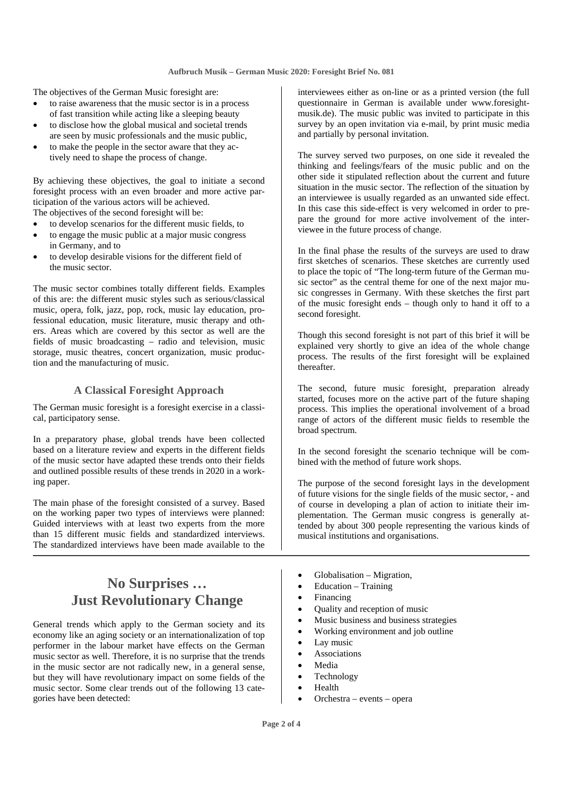The objectives of the German Music foresight are:

- to raise awareness that the music sector is in a process of fast transition while acting like a sleeping beauty
- to disclose how the global musical and societal trends are seen by music professionals and the music public,
- to make the people in the sector aware that they actively need to shape the process of change.

By achieving these objectives, the goal to initiate a second foresight process with an even broader and more active participation of the various actors will be achieved. The objectives of the second foresight will be:

- to develop scenarios for the different music fields, to
- to engage the music public at a major music congress in Germany, and to
- to develop desirable visions for the different field of the music sector.

The music sector combines totally different fields. Examples of this are: the different music styles such as serious/classical music, opera, folk, jazz, pop, rock, music lay education, professional education, music literature, music therapy and others. Areas which are covered by this sector as well are the fields of music broadcasting – radio and television, music storage, music theatres, concert organization, music production and the manufacturing of music.

#### **A Classical Foresight Approach**

The German music foresight is a foresight exercise in a classical, participatory sense.

In a preparatory phase, global trends have been collected based on a literature review and experts in the different fields of the music sector have adapted these trends onto their fields and outlined possible results of these trends in 2020 in a working paper.

The main phase of the foresight consisted of a survey. Based on the working paper two types of interviews were planned: Guided interviews with at least two experts from the more than 15 different music fields and standardized interviews. The standardized interviews have been made available to the

### **No Surprises … Just Revolutionary Change**

General trends which apply to the German society and its economy like an aging society or an internationalization of top performer in the labour market have effects on the German music sector as well. Therefore, it is no surprise that the trends in the music sector are not radically new, in a general sense, but they will have revolutionary impact on some fields of the music sector. Some clear trends out of the following 13 categories have been detected:

interviewees either as on-line or as a printed version (the full questionnaire in German is available under www.foresightmusik.de). The music public was invited to participate in this survey by an open invitation via e-mail, by print music media and partially by personal invitation.

The survey served two purposes, on one side it revealed the thinking and feelings/fears of the music public and on the other side it stipulated reflection about the current and future situation in the music sector. The reflection of the situation by an interviewee is usually regarded as an unwanted side effect. In this case this side-effect is very welcomed in order to prepare the ground for more active involvement of the interviewee in the future process of change.

In the final phase the results of the surveys are used to draw first sketches of scenarios. These sketches are currently used to place the topic of "The long-term future of the German music sector" as the central theme for one of the next major music congresses in Germany. With these sketches the first part of the music foresight ends – though only to hand it off to a second foresight.

Though this second foresight is not part of this brief it will be explained very shortly to give an idea of the whole change process. The results of the first foresight will be explained thereafter.

The second, future music foresight, preparation already started, focuses more on the active part of the future shaping process. This implies the operational involvement of a broad range of actors of the different music fields to resemble the broad spectrum.

In the second foresight the scenario technique will be combined with the method of future work shops.

The purpose of the second foresight lays in the development of future visions for the single fields of the music sector, - and of course in developing a plan of action to initiate their implementation. The German music congress is generally attended by about 300 people representing the various kinds of musical institutions and organisations.

- Globalisation Migration,
- Education Training
- Financing
- Quality and reception of music
- Music business and business strategies
- Working environment and job outline
- Lay music
- **Associations**
- Media
- Technology
- Health
- Orchestra events opera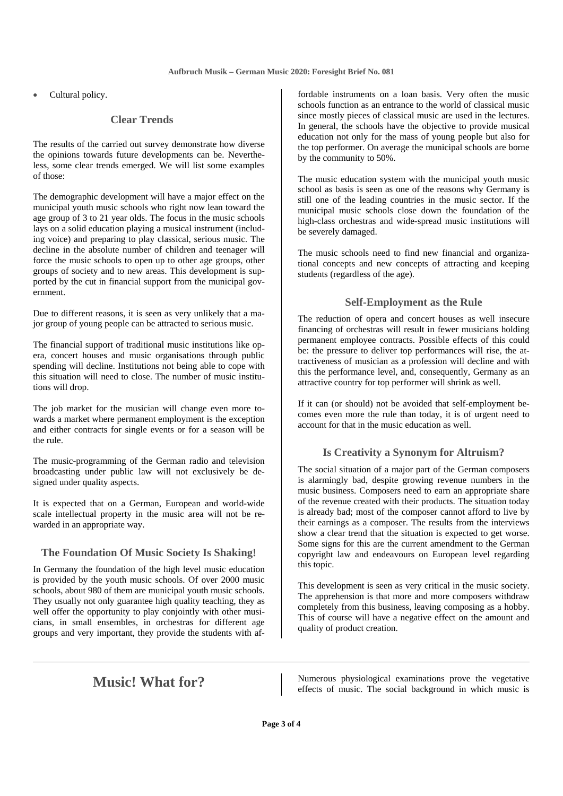Cultural policy.

#### **Clear Trends**

The results of the carried out survey demonstrate how diverse the opinions towards future developments can be. Nevertheless, some clear trends emerged. We will list some examples of those:

The demographic development will have a major effect on the municipal youth music schools who right now lean toward the age group of 3 to 21 year olds. The focus in the music schools lays on a solid education playing a musical instrument (including voice) and preparing to play classical, serious music. The decline in the absolute number of children and teenager will force the music schools to open up to other age groups, other groups of society and to new areas. This development is supported by the cut in financial support from the municipal government.

Due to different reasons, it is seen as very unlikely that a major group of young people can be attracted to serious music.

The financial support of traditional music institutions like opera, concert houses and music organisations through public spending will decline. Institutions not being able to cope with this situation will need to close. The number of music institutions will drop.

The job market for the musician will change even more towards a market where permanent employment is the exception and either contracts for single events or for a season will be the rule.

The music-programming of the German radio and television broadcasting under public law will not exclusively be designed under quality aspects.

It is expected that on a German, European and world-wide scale intellectual property in the music area will not be rewarded in an appropriate way.

#### **The Foundation Of Music Society Is Shaking!**

In Germany the foundation of the high level music education is provided by the youth music schools. Of over 2000 music schools, about 980 of them are municipal youth music schools. They usually not only guarantee high quality teaching, they as well offer the opportunity to play conjointly with other musicians, in small ensembles, in orchestras for different age groups and very important, they provide the students with affordable instruments on a loan basis. Very often the music schools function as an entrance to the world of classical music since mostly pieces of classical music are used in the lectures. In general, the schools have the objective to provide musical education not only for the mass of young people but also for the top performer. On average the municipal schools are borne by the community to 50%.

The music education system with the municipal youth music school as basis is seen as one of the reasons why Germany is still one of the leading countries in the music sector. If the municipal music schools close down the foundation of the high-class orchestras and wide-spread music institutions will be severely damaged.

The music schools need to find new financial and organizational concepts and new concepts of attracting and keeping students (regardless of the age).

#### **Self-Employment as the Rule**

The reduction of opera and concert houses as well insecure financing of orchestras will result in fewer musicians holding permanent employee contracts. Possible effects of this could be: the pressure to deliver top performances will rise, the attractiveness of musician as a profession will decline and with this the performance level, and, consequently, Germany as an attractive country for top performer will shrink as well.

If it can (or should) not be avoided that self-employment becomes even more the rule than today, it is of urgent need to account for that in the music education as well.

#### **Is Creativity a Synonym for Altruism?**

The social situation of a major part of the German composers is alarmingly bad, despite growing revenue numbers in the music business. Composers need to earn an appropriate share of the revenue created with their products. The situation today is already bad; most of the composer cannot afford to live by their earnings as a composer. The results from the interviews show a clear trend that the situation is expected to get worse. Some signs for this are the current amendment to the German copyright law and endeavours on European level regarding this topic.

This development is seen as very critical in the music society. The apprehension is that more and more composers withdraw completely from this business, leaving composing as a hobby. This of course will have a negative effect on the amount and quality of product creation.

**Music!** What for? Numerous physiological examinations prove the vegetative effects of music. The social background in which music is